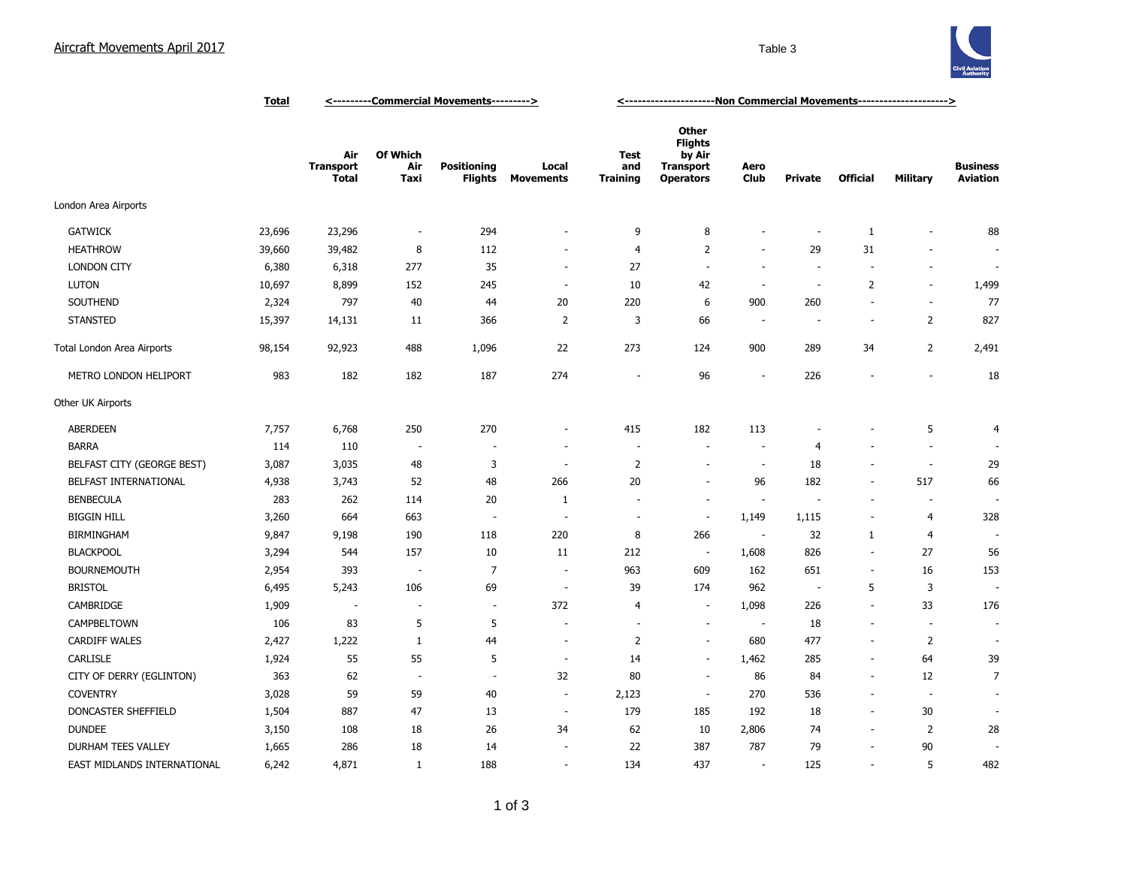## Aircraft Movements April 2017 and the Contract of the Contract of Table 3 and Table 3



|                             | <b>Total</b> | <---------Commercial Movements---------> |                          |                               |                           | <------------------------Non Commercial Movements---------------------> |                                                                                  |                          |                          |                          |                          |                                    |
|-----------------------------|--------------|------------------------------------------|--------------------------|-------------------------------|---------------------------|-------------------------------------------------------------------------|----------------------------------------------------------------------------------|--------------------------|--------------------------|--------------------------|--------------------------|------------------------------------|
|                             |              | Air<br><b>Transport</b><br><b>Total</b>  | Of Which<br>Air<br>Taxi  | Positioning<br><b>Flights</b> | Local<br><b>Movements</b> | <b>Test</b><br>and<br><b>Training</b>                                   | <b>Other</b><br><b>Flights</b><br>by Air<br><b>Transport</b><br><b>Operators</b> | Aero<br><b>Club</b>      | <b>Private</b>           | <b>Official</b>          | Military                 | <b>Business</b><br><b>Aviation</b> |
| London Area Airports        |              |                                          |                          |                               |                           |                                                                         |                                                                                  |                          |                          |                          |                          |                                    |
| <b>GATWICK</b>              | 23,696       | 23,296                                   | $\overline{\phantom{a}}$ | 294                           | ä,                        | 9                                                                       | 8                                                                                |                          | J.                       | $\mathbf{1}$             | ÷,                       | 88                                 |
| <b>HEATHROW</b>             | 39,660       | 39,482                                   | 8                        | 112                           | ä,                        | $\overline{4}$                                                          | 2                                                                                | $\sim$                   | 29                       | 31                       |                          |                                    |
| <b>LONDON CITY</b>          | 6,380        | 6,318                                    | 277                      | 35                            | $\overline{\phantom{a}}$  | 27                                                                      | $\sim$                                                                           | $\overline{\phantom{a}}$ | ÷.                       | $\sim$                   | $\overline{a}$           | $\overline{\phantom{a}}$           |
| <b>LUTON</b>                | 10,697       | 8,899                                    | 152                      | 245                           | $\sim$                    | 10                                                                      | 42                                                                               | ÷.                       | ÷.                       | $\overline{2}$           | ÷.                       | 1,499                              |
| SOUTHEND                    | 2,324        | 797                                      | $40\,$                   | 44                            | 20                        | 220                                                                     | 6                                                                                | 900                      | 260                      | ÷.                       | $\sim$                   | $77$                               |
| <b>STANSTED</b>             | 15,397       | 14,131                                   | 11                       | 366                           | $\overline{2}$            | 3                                                                       | 66                                                                               | $\sim$                   | $\overline{\phantom{a}}$ | $\sim$                   | $\overline{2}$           | 827                                |
| Total London Area Airports  | 98,154       | 92,923                                   | 488                      | 1,096                         | 22                        | 273                                                                     | 124                                                                              | 900                      | 289                      | 34                       | $\overline{2}$           | 2,491                              |
| METRO LONDON HELIPORT       | 983          | 182                                      | 182                      | 187                           | 274                       | $\sim$                                                                  | 96                                                                               | ÷.                       | 226                      | $\overline{a}$           | ÷,                       | 18                                 |
| Other UK Airports           |              |                                          |                          |                               |                           |                                                                         |                                                                                  |                          |                          |                          |                          |                                    |
| <b>ABERDEEN</b>             | 7,757        | 6,768                                    | 250                      | 270                           | ٠                         | 415                                                                     | 182                                                                              | 113                      |                          |                          | 5                        | $\overline{4}$                     |
| <b>BARRA</b>                | 114          | 110                                      | $\overline{\phantom{a}}$ |                               |                           | $\overline{\phantom{a}}$                                                | $\sim$                                                                           | $\overline{\phantom{a}}$ | $\overline{4}$           |                          | $\overline{\phantom{a}}$ |                                    |
| BELFAST CITY (GEORGE BEST)  | 3,087        | 3,035                                    | 48                       | 3                             | ÷.                        | $\overline{2}$                                                          | ۰.                                                                               | $\sim$                   | 18                       |                          | ٠.                       | 29                                 |
| BELFAST INTERNATIONAL       | 4,938        | 3,743                                    | 52                       | 48                            | 266                       | 20                                                                      | ٠                                                                                | 96                       | 182                      | $\sim$                   | 517                      | 66                                 |
| <b>BENBECULA</b>            | 283          | 262                                      | 114                      | 20                            | 1                         |                                                                         | $\sim$                                                                           | $\overline{\phantom{a}}$ |                          | $\overline{a}$           | $\overline{\phantom{a}}$ |                                    |
| <b>BIGGIN HILL</b>          | 3,260        | 664                                      | 663                      | $\overline{\phantom{a}}$      | $\overline{\phantom{a}}$  | $\sim$                                                                  | $\overline{\phantom{a}}$                                                         | 1,149                    | 1,115                    | $\blacksquare$           | $\overline{4}$           | 328                                |
| <b>BIRMINGHAM</b>           | 9,847        | 9,198                                    | 190                      | 118                           | 220                       | 8                                                                       | 266                                                                              | $\overline{\phantom{a}}$ | 32                       | 1                        | $\overline{4}$           |                                    |
| <b>BLACKPOOL</b>            | 3,294        | 544                                      | 157                      | 10                            | 11                        | 212                                                                     | $\overline{\phantom{a}}$                                                         | 1,608                    | 826                      | $\sim$                   | 27                       | 56                                 |
| <b>BOURNEMOUTH</b>          | 2,954        | 393                                      | $\overline{\phantom{a}}$ | $\overline{7}$                | $\sim$                    | 963                                                                     | 609                                                                              | 162                      | 651                      | $\sim$                   | 16                       | 153                                |
| <b>BRISTOL</b>              | 6,495        | 5,243                                    | 106                      | 69                            | $\sim$                    | 39                                                                      | 174                                                                              | 962                      | $\sim$                   | 5                        | 3                        |                                    |
| CAMBRIDGE                   | 1,909        |                                          |                          | $\sim$                        | 372                       | 4                                                                       | $\sim$                                                                           | 1,098                    | 226                      | $\sim$                   | 33                       | 176                                |
| CAMPBELTOWN                 | 106          | 83                                       | 5                        | 5                             |                           |                                                                         | ÷,                                                                               | $\sim$                   | 18                       | ÷.                       | $\overline{\phantom{a}}$ |                                    |
| <b>CARDIFF WALES</b>        | 2,427        | 1,222                                    | $\mathbf{1}$             | 44                            | ÷,                        | $\overline{2}$                                                          | $\sim$                                                                           | 680                      | 477                      | ÷.                       | $\overline{2}$           |                                    |
| <b>CARLISLE</b>             | 1,924        | 55                                       | 55                       | 5                             | $\sim$                    | 14                                                                      | $\sim$                                                                           | 1,462                    | 285                      | $\overline{\phantom{a}}$ | 64                       | 39                                 |
| CITY OF DERRY (EGLINTON)    | 363          | 62                                       | $\overline{\phantom{a}}$ | $\overline{\phantom{a}}$      | 32                        | 80                                                                      | $\overline{\phantom{a}}$                                                         | 86                       | 84                       | $\overline{\phantom{a}}$ | 12                       | $\overline{7}$                     |
| <b>COVENTRY</b>             | 3,028        | 59                                       | 59                       | $40\,$                        | $\overline{\phantom{a}}$  | 2,123                                                                   | $\sim$                                                                           | 270                      | 536                      | $\overline{\phantom{a}}$ | $\overline{\phantom{a}}$ |                                    |
| DONCASTER SHEFFIELD         | 1,504        | 887                                      | 47                       | 13                            | $\sim$                    | 179                                                                     | 185                                                                              | 192                      | 18                       | $\blacksquare$           | $30\,$                   |                                    |
| <b>DUNDEE</b>               | 3,150        | 108                                      | 18                       | 26                            | 34                        | 62                                                                      | 10                                                                               | 2,806                    | 74                       | $\overline{\phantom{a}}$ | $\overline{2}$           | 28                                 |
| DURHAM TEES VALLEY          | 1,665        | 286                                      | 18                       | 14                            |                           | 22                                                                      | 387                                                                              | 787                      | 79                       | $\overline{\phantom{a}}$ | 90                       |                                    |
| EAST MIDLANDS INTERNATIONAL | 6,242        | 4,871                                    | 1                        | 188                           | ÷,                        | 134                                                                     | 437                                                                              | $\sim$                   | 125                      | $\sim$                   | 5                        | 482                                |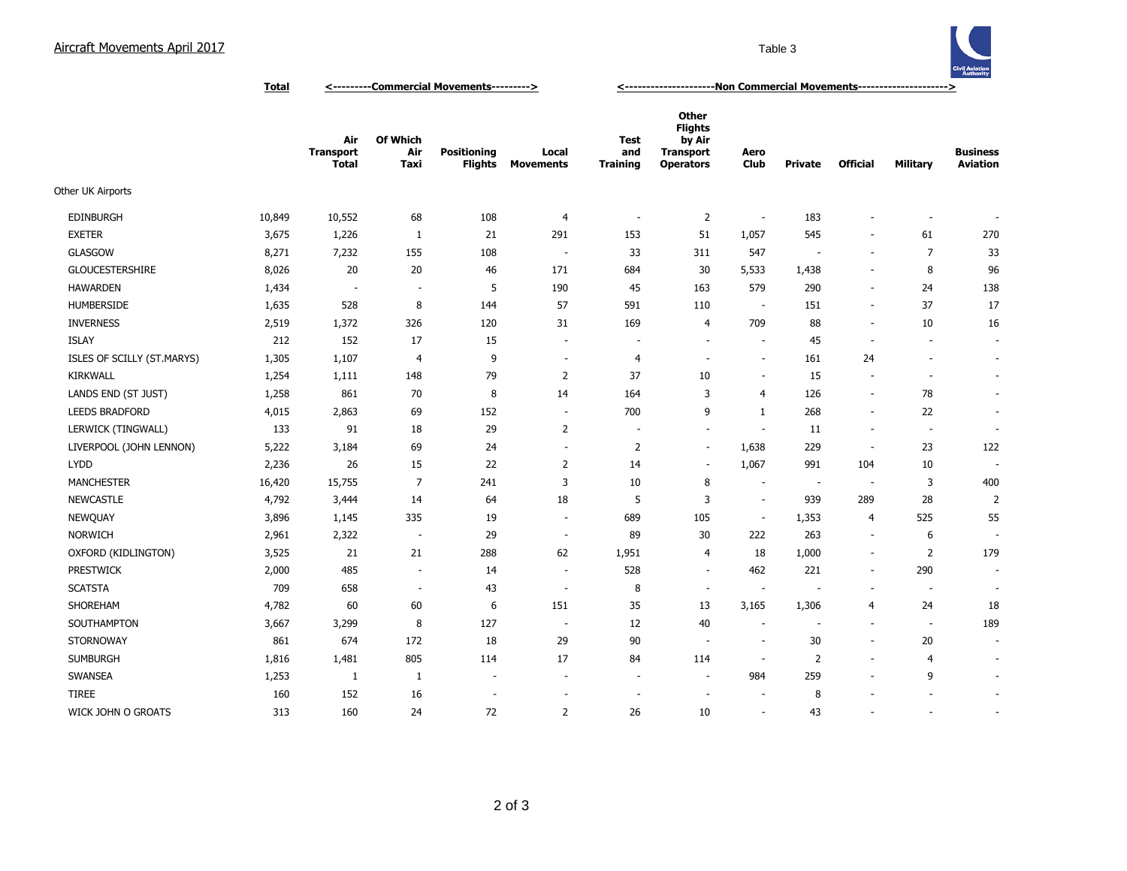## Aircraft Movements April 2017 Table 3



**Total <---------Commercial Movements---------> <---------------------Non Commercial Movements--------------------->**

|                            |        | Air<br><b>Transport</b><br><b>Total</b> | Of Which<br>Air<br>Taxi  | <b>Positioning</b><br><b>Flights</b> | Local<br><b>Movements</b> | <b>Test</b><br>and<br><b>Training</b> | Other<br><b>Flights</b><br>by Air<br><b>Transport</b><br><b>Operators</b> | Aero<br>Club             | <b>Private</b>           | <b>Official</b>          | <b>Military</b>          | <b>Business</b><br><b>Aviation</b> |
|----------------------------|--------|-----------------------------------------|--------------------------|--------------------------------------|---------------------------|---------------------------------------|---------------------------------------------------------------------------|--------------------------|--------------------------|--------------------------|--------------------------|------------------------------------|
| Other UK Airports          |        |                                         |                          |                                      |                           |                                       |                                                                           |                          |                          |                          |                          |                                    |
| <b>EDINBURGH</b>           | 10,849 | 10,552                                  | 68                       | 108                                  | 4                         | $\overline{\phantom{a}}$              | $\overline{2}$                                                            | ÷                        | 183                      |                          |                          |                                    |
| <b>EXETER</b>              | 3,675  | 1,226                                   | 1                        | 21                                   | 291                       | 153                                   | 51                                                                        | 1,057                    | 545                      | $\overline{\phantom{a}}$ | 61                       | 270                                |
| <b>GLASGOW</b>             | 8,271  | 7,232                                   | 155                      | 108                                  | $\sim$                    | 33                                    | 311                                                                       | 547                      |                          | $\sim$                   | 7                        | 33                                 |
| <b>GLOUCESTERSHIRE</b>     | 8,026  | 20                                      | 20                       | 46                                   | 171                       | 684                                   | 30                                                                        | 5,533                    | 1,438                    | $\blacksquare$           | 8                        | 96                                 |
| <b>HAWARDEN</b>            | 1,434  | ٠.                                      | $\overline{\phantom{a}}$ | 5                                    | 190                       | 45                                    | 163                                                                       | 579                      | 290                      | $\blacksquare$           | 24                       | 138                                |
| <b>HUMBERSIDE</b>          | 1,635  | 528                                     | 8                        | 144                                  | 57                        | 591                                   | 110                                                                       | $\sim$                   | 151                      | $\blacksquare$           | 37                       | 17                                 |
| <b>INVERNESS</b>           | 2,519  | 1,372                                   | 326                      | 120                                  | 31                        | 169                                   | 4                                                                         | 709                      | 88                       | $\overline{\phantom{a}}$ | 10                       | 16                                 |
| <b>ISLAY</b>               | 212    | 152                                     | 17                       | 15                                   | $\sim$                    |                                       | $\sim$                                                                    | $\overline{\phantom{a}}$ | 45                       | $\overline{\phantom{a}}$ | $\sim$                   | $\overline{\phantom{a}}$           |
| ISLES OF SCILLY (ST.MARYS) | 1,305  | 1,107                                   | 4                        | 9                                    | $\sim$                    | 4                                     | ÷.                                                                        | $\sim$                   | 161                      | 24                       | $\overline{a}$           | $\overline{\phantom{a}}$           |
| <b>KIRKWALL</b>            | 1,254  | 1,111                                   | 148                      | 79                                   | $\overline{2}$            | 37                                    | 10                                                                        | $\overline{\phantom{a}}$ | 15                       | $\overline{\phantom{a}}$ | $\overline{\phantom{a}}$ | $\overline{\phantom{a}}$           |
| LANDS END (ST JUST)        | 1,258  | 861                                     | 70                       | 8                                    | 14                        | 164                                   | 3                                                                         | 4                        | 126                      | $\overline{\phantom{a}}$ | 78                       | $\overline{\phantom{a}}$           |
| <b>LEEDS BRADFORD</b>      | 4,015  | 2,863                                   | 69                       | 152                                  | $\sim$                    | 700                                   | 9                                                                         | 1                        | 268                      | $\overline{\phantom{a}}$ | 22                       | $\overline{\phantom{a}}$           |
| LERWICK (TINGWALL)         | 133    | 91                                      | 18                       | 29                                   | $\overline{2}$            | $\sim$                                | $\sim$                                                                    | $\sim$                   | 11                       | $\overline{\phantom{a}}$ | $\sim$                   | $\overline{\phantom{a}}$           |
| LIVERPOOL (JOHN LENNON)    | 5,222  | 3,184                                   | 69                       | 24                                   | $\sim$                    | $\overline{2}$                        | $\sim$                                                                    | 1,638                    | 229                      | $\sim$                   | 23                       | 122                                |
| <b>LYDD</b>                | 2,236  | 26                                      | 15                       | 22                                   | $\overline{2}$            | 14                                    | ÷.                                                                        | 1,067                    | 991                      | 104                      | 10                       |                                    |
| <b>MANCHESTER</b>          | 16,420 | 15,755                                  | $\overline{7}$           | 241                                  | 3                         | 10                                    | 8                                                                         | $\overline{\phantom{a}}$ | $\sim$                   | $\overline{\phantom{a}}$ | 3                        | 400                                |
| <b>NEWCASTLE</b>           | 4,792  | 3,444                                   | 14                       | 64                                   | 18                        | 5                                     | 3                                                                         | $\overline{\phantom{a}}$ | 939                      | 289                      | 28                       | 2                                  |
| <b>NEWQUAY</b>             | 3,896  | 1,145                                   | 335                      | 19                                   | $\sim$                    | 689                                   | 105                                                                       | $\overline{\phantom{a}}$ | 1,353                    | 4                        | 525                      | 55                                 |
| <b>NORWICH</b>             | 2,961  | 2,322                                   | $\sim$                   | 29                                   | $\sim$                    | 89                                    | 30                                                                        | 222                      | 263                      | $\sim$                   | 6                        |                                    |
| OXFORD (KIDLINGTON)        | 3,525  | 21                                      | 21                       | 288                                  | 62                        | 1,951                                 | 4                                                                         | 18                       | 1,000                    | $\blacksquare$           | $\overline{2}$           | 179                                |
| <b>PRESTWICK</b>           | 2,000  | 485                                     | $\overline{\phantom{a}}$ | 14                                   | $\sim$                    | 528                                   | $\sim$                                                                    | 462                      | 221                      | $\blacksquare$           | 290                      | $\overline{\phantom{a}}$           |
| <b>SCATSTA</b>             | 709    | 658                                     | $\overline{\phantom{a}}$ | 43                                   | $\overline{\phantom{a}}$  | 8                                     | $\sim$                                                                    | ٠.                       |                          | $\overline{\phantom{a}}$ | $\overline{\phantom{a}}$ | $\sim$                             |
| SHOREHAM                   | 4,782  | 60                                      | 60                       | 6                                    | 151                       | 35                                    | 13                                                                        | 3,165                    | 1,306                    | 4                        | 24                       | 18                                 |
| <b>SOUTHAMPTON</b>         | 3,667  | 3,299                                   | 8                        | 127                                  | $\sim$                    | 12                                    | 40                                                                        | $\sim$                   | $\overline{\phantom{a}}$ | $\overline{\phantom{a}}$ | $\blacksquare$           | 189                                |
| <b>STORNOWAY</b>           | 861    | 674                                     | 172                      | 18                                   | 29                        | 90                                    | $\sim$                                                                    | ÷                        | 30                       | $\blacksquare$           | 20                       | ٠                                  |
| <b>SUMBURGH</b>            | 1,816  | 1,481                                   | 805                      | 114                                  | 17                        | 84                                    | 114                                                                       | $\overline{\phantom{a}}$ | $\overline{2}$           | $\overline{\phantom{a}}$ | $\overline{4}$           | $\overline{\phantom{a}}$           |
| SWANSEA                    | 1,253  | 1                                       | -1                       | $\overline{\phantom{a}}$             | $\overline{\phantom{a}}$  | $\sim$                                | $\sim$                                                                    | 984                      | 259                      | $\overline{\phantom{a}}$ | 9                        | $\overline{\phantom{a}}$           |
| <b>TIREE</b>               | 160    | 152                                     | 16                       | $\overline{\phantom{a}}$             | $\sim$                    |                                       | $\sim$                                                                    | ÷                        | 8                        |                          | $\overline{a}$           | $\sim$                             |
| WICK JOHN O GROATS         | 313    | 160                                     | 24                       | 72                                   | $\overline{2}$            | 26                                    | 10                                                                        | $\sim$                   | 43                       |                          | $\sim$                   | $\overline{\phantom{a}}$           |
|                            |        |                                         |                          |                                      |                           |                                       |                                                                           |                          |                          |                          |                          |                                    |